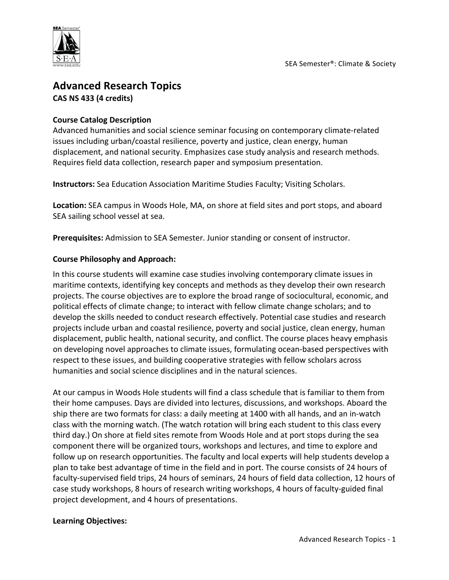

# **Advanced Research Topics CAS NS 433 (4 credits)**

# **Course Catalog Description**

Advanced humanities and social science seminar focusing on contemporary climate-related issues including urban/coastal resilience, poverty and justice, clean energy, human displacement, and national security. Emphasizes case study analysis and research methods. Requires field data collection, research paper and symposium presentation.

**Instructors:** Sea Education Association Maritime Studies Faculty; Visiting Scholars.

**Location:** SEA campus in Woods Hole, MA, on shore at field sites and port stops, and aboard SEA sailing school vessel at sea.

**Prerequisites:** Admission to SEA Semester. Junior standing or consent of instructor.

# **Course Philosophy and Approach:**

In this course students will examine case studies involving contemporary climate issues in maritime contexts, identifying key concepts and methods as they develop their own research projects. The course objectives are to explore the broad range of sociocultural, economic, and political effects of climate change; to interact with fellow climate change scholars; and to develop the skills needed to conduct research effectively. Potential case studies and research projects include urban and coastal resilience, poverty and social justice, clean energy, human displacement, public health, national security, and conflict. The course places heavy emphasis on developing novel approaches to climate issues, formulating ocean-based perspectives with respect to these issues, and building cooperative strategies with fellow scholars across humanities and social science disciplines and in the natural sciences.

At our campus in Woods Hole students will find a class schedule that is familiar to them from their home campuses. Days are divided into lectures, discussions, and workshops. Aboard the ship there are two formats for class: a daily meeting at 1400 with all hands, and an in-watch class with the morning watch. (The watch rotation will bring each student to this class every third day.) On shore at field sites remote from Woods Hole and at port stops during the sea component there will be organized tours, workshops and lectures, and time to explore and follow up on research opportunities. The faculty and local experts will help students develop a plan to take best advantage of time in the field and in port. The course consists of 24 hours of faculty-supervised field trips, 24 hours of seminars, 24 hours of field data collection, 12 hours of case study workshops, 8 hours of research writing workshops, 4 hours of faculty-guided final project development, and 4 hours of presentations.

#### **Learning Objectives:**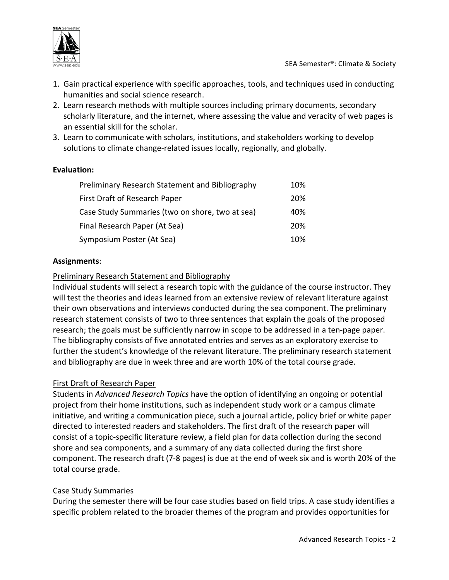

- 1. Gain practical experience with specific approaches, tools, and techniques used in conducting humanities and social science research.
- 2. Learn research methods with multiple sources including primary documents, secondary scholarly literature, and the internet, where assessing the value and veracity of web pages is an essential skill for the scholar.
- 3. Learn to communicate with scholars, institutions, and stakeholders working to develop solutions to climate change-related issues locally, regionally, and globally.

# **Evaluation:**

| Preliminary Research Statement and Bibliography | 10% |
|-------------------------------------------------|-----|
| First Draft of Research Paper                   | 20% |
| Case Study Summaries (two on shore, two at sea) | 40% |
| Final Research Paper (At Sea)                   | 20% |
| Symposium Poster (At Sea)                       | 10% |

# **Assignments**:

# Preliminary Research Statement and Bibliography

Individual students will select a research topic with the guidance of the course instructor. They will test the theories and ideas learned from an extensive review of relevant literature against their own observations and interviews conducted during the sea component. The preliminary research statement consists of two to three sentences that explain the goals of the proposed research; the goals must be sufficiently narrow in scope to be addressed in a ten-page paper. The bibliography consists of five annotated entries and serves as an exploratory exercise to further the student's knowledge of the relevant literature. The preliminary research statement and bibliography are due in week three and are worth 10% of the total course grade.

#### First Draft of Research Paper

Students in *Advanced Research Topics* have the option of identifying an ongoing or potential project from their home institutions, such as independent study work or a campus climate initiative, and writing a communication piece, such a journal article, policy brief or white paper directed to interested readers and stakeholders. The first draft of the research paper will consist of a topic-specific literature review, a field plan for data collection during the second shore and sea components, and a summary of any data collected during the first shore component. The research draft (7-8 pages) is due at the end of week six and is worth 20% of the total course grade.

#### Case Study Summaries

During the semester there will be four case studies based on field trips. A case study identifies a specific problem related to the broader themes of the program and provides opportunities for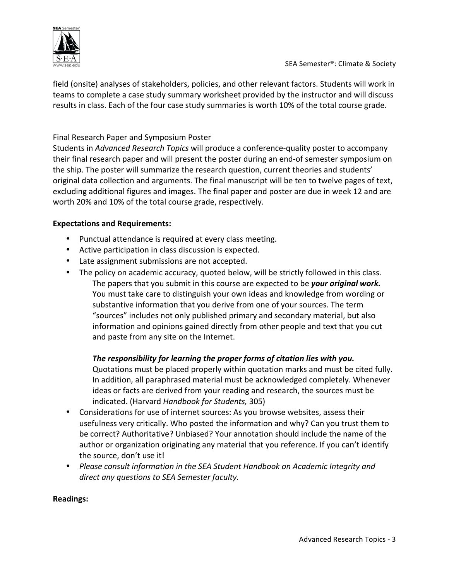

field (onsite) analyses of stakeholders, policies, and other relevant factors. Students will work in teams to complete a case study summary worksheet provided by the instructor and will discuss results in class. Each of the four case study summaries is worth 10% of the total course grade.

# Final Research Paper and Symposium Poster

Students in *Advanced Research Topics* will produce a conference-quality poster to accompany their final research paper and will present the poster during an end-of semester symposium on the ship. The poster will summarize the research question, current theories and students' original data collection and arguments. The final manuscript will be ten to twelve pages of text, excluding additional figures and images. The final paper and poster are due in week 12 and are worth 20% and 10% of the total course grade, respectively.

# **Expectations and Requirements:**

- Punctual attendance is required at every class meeting.
- Active participation in class discussion is expected.
- Late assignment submissions are not accepted.
- The policy on academic accuracy, quoted below, will be strictly followed in this class. The papers that you submit in this course are expected to be *your original work.* You must take care to distinguish your own ideas and knowledge from wording or substantive information that you derive from one of your sources. The term "sources" includes not only published primary and secondary material, but also information and opinions gained directly from other people and text that you cut and paste from any site on the Internet.

# The responsibility for learning the proper forms of citation lies with you.

Quotations must be placed properly within quotation marks and must be cited fully. In addition, all paraphrased material must be acknowledged completely. Whenever ideas or facts are derived from your reading and research, the sources must be indicated. (Harvard *Handbook for Students,* 305)

- Considerations for use of internet sources: As you browse websites, assess their usefulness very critically. Who posted the information and why? Can you trust them to be correct? Authoritative? Unbiased? Your annotation should include the name of the author or organization originating any material that you reference. If you can't identify the source, don't use it!
- Please consult information in the SEA Student Handbook on Academic Integrity and direct any questions to SEA Semester faculty.

# **Readings:**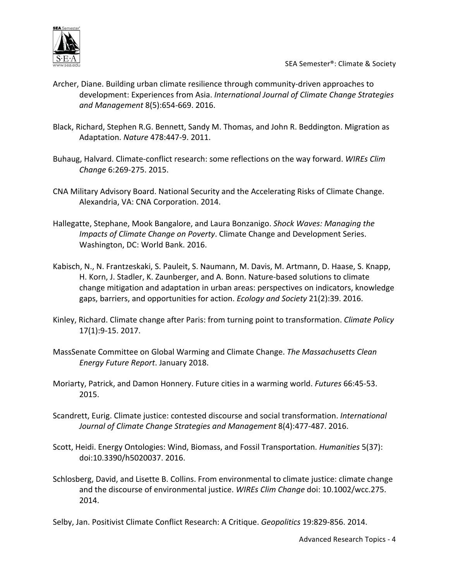

- Archer, Diane. Building urban climate resilience through community-driven approaches to development: Experiences from Asia. *International Journal of Climate Change Strategies and Management* 8(5):654-669. 2016.
- Black, Richard, Stephen R.G. Bennett, Sandy M. Thomas, and John R. Beddington. Migration as Adaptation. *Nature* 478:447-9. 2011.
- Buhaug, Halvard. Climate-conflict research: some reflections on the way forward. WIREs Clim *Change* 6:269-275. 2015.
- CNA Military Advisory Board. National Security and the Accelerating Risks of Climate Change. Alexandria, VA: CNA Corporation. 2014.
- Hallegatte, Stephane, Mook Bangalore, and Laura Bonzanigo. *Shock Waves: Managing the Impacts of Climate Change on Poverty*. Climate Change and Development Series. Washington, DC: World Bank. 2016.
- Kabisch, N., N. Frantzeskaki, S. Pauleit, S. Naumann, M. Davis, M. Artmann, D. Haase, S. Knapp, H. Korn, J. Stadler, K. Zaunberger, and A. Bonn. Nature-based solutions to climate change mitigation and adaptation in urban areas: perspectives on indicators, knowledge gaps, barriers, and opportunities for action. *Ecology and Society* 21(2):39. 2016.
- Kinley, Richard. Climate change after Paris: from turning point to transformation. *Climate Policy* 17(1):9-15. 2017.
- MassSenate Committee on Global Warming and Climate Change. *The Massachusetts Clean Energy Future Report*. January 2018.
- Moriarty, Patrick, and Damon Honnery. Future cities in a warming world. *Futures* 66:45-53. 2015.
- Scandrett, Eurig. Climate justice: contested discourse and social transformation. *International* Journal of Climate Change Strategies and Management 8(4):477-487. 2016.
- Scott, Heidi. Energy Ontologies: Wind, Biomass, and Fossil Transportation. *Humanities* 5(37): doi:10.3390/h5020037. 2016.
- Schlosberg, David, and Lisette B. Collins. From environmental to climate justice: climate change and the discourse of environmental justice. WIREs Clim Change doi: 10.1002/wcc.275. 2014.

Selby, Jan. Positivist Climate Conflict Research: A Critique. *Geopolitics* 19:829-856. 2014.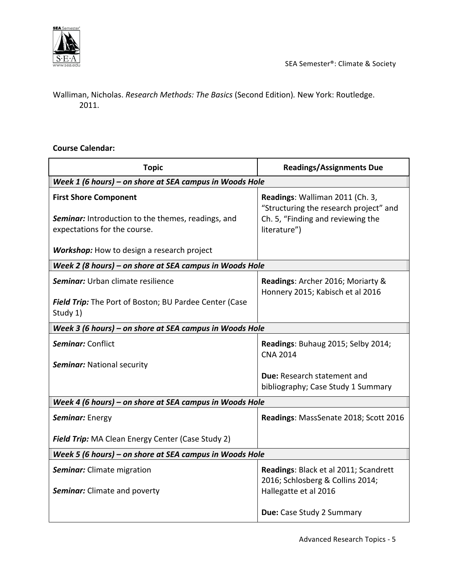

Walliman, Nicholas. *Research Methods: The Basics* (Second Edition). New York: Routledge. 2011.

# **Course Calendar:**

| <b>Topic</b>                                                                                                              | <b>Readings/Assignments Due</b>                                                                                                |  |
|---------------------------------------------------------------------------------------------------------------------------|--------------------------------------------------------------------------------------------------------------------------------|--|
| Week 1 (6 hours) - on shore at SEA campus in Woods Hole                                                                   |                                                                                                                                |  |
| <b>First Shore Component</b><br><b>Seminar:</b> Introduction to the themes, readings, and<br>expectations for the course. | Readings: Walliman 2011 (Ch. 3,<br>"Structuring the research project" and<br>Ch. 5, "Finding and reviewing the<br>literature") |  |
| <b>Workshop:</b> How to design a research project                                                                         |                                                                                                                                |  |
| Week 2 (8 hours) – on shore at SEA campus in Woods Hole                                                                   |                                                                                                                                |  |
| Seminar: Urban climate resilience                                                                                         | Readings: Archer 2016; Moriarty &<br>Honnery 2015; Kabisch et al 2016                                                          |  |
| Field Trip: The Port of Boston; BU Pardee Center (Case<br>Study 1)                                                        |                                                                                                                                |  |
| Week 3 (6 hours) - on shore at SEA campus in Woods Hole                                                                   |                                                                                                                                |  |
| Seminar: Conflict                                                                                                         | Readings: Buhaug 2015; Selby 2014;<br><b>CNA 2014</b>                                                                          |  |
| <b>Seminar: National security</b>                                                                                         |                                                                                                                                |  |
|                                                                                                                           | Due: Research statement and                                                                                                    |  |
|                                                                                                                           | bibliography; Case Study 1 Summary                                                                                             |  |
| Week 4 (6 hours) – on shore at SEA campus in Woods Hole                                                                   |                                                                                                                                |  |
| Seminar: Energy                                                                                                           | Readings: MassSenate 2018; Scott 2016                                                                                          |  |
| <b>Field Trip:</b> MA Clean Energy Center (Case Study 2)                                                                  |                                                                                                                                |  |
| Week 5 (6 hours) - on shore at SEA campus in Woods Hole                                                                   |                                                                                                                                |  |
| <b>Seminar:</b> Climate migration<br><b>Seminar:</b> Climate and poverty                                                  | Readings: Black et al 2011; Scandrett<br>2016; Schlosberg & Collins 2014;<br>Hallegatte et al 2016                             |  |
|                                                                                                                           | Due: Case Study 2 Summary                                                                                                      |  |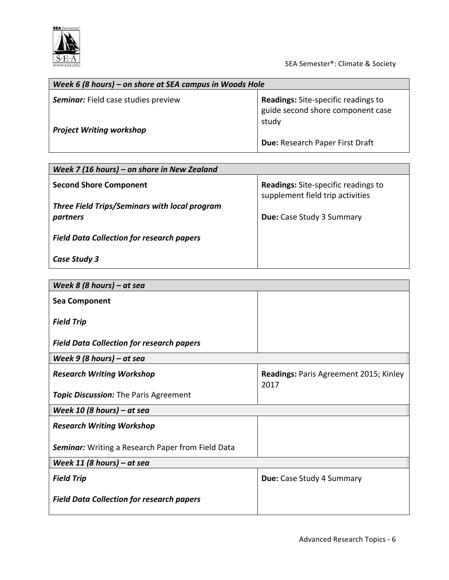

SEA Semester®: Climate & Society

| Week 6 (8 hours) – on shore at SEA campus in Woods Hole |                                                                                          |  |
|---------------------------------------------------------|------------------------------------------------------------------------------------------|--|
| <b>Seminar:</b> Field case studies preview              | <b>Readings:</b> Site-specific readings to<br>guide second shore component case<br>study |  |
| <b>Project Writing workshop</b>                         | Due: Research Paper First Draft                                                          |  |

| Week 7 (16 hours) – on shore in New Zealand               |                                                                                |  |
|-----------------------------------------------------------|--------------------------------------------------------------------------------|--|
| <b>Second Shore Component</b>                             | <b>Readings:</b> Site-specific readings to<br>supplement field trip activities |  |
| Three Field Trips/Seminars with local program<br>partners | <b>Due:</b> Case Study 3 Summary                                               |  |
| <b>Field Data Collection for research papers</b>          |                                                                                |  |
| Case Study 3                                              |                                                                                |  |

| Week 8 (8 hours) – at sea                                |                                                       |  |  |
|----------------------------------------------------------|-------------------------------------------------------|--|--|
| <b>Sea Component</b>                                     |                                                       |  |  |
| <b>Field Trip</b>                                        |                                                       |  |  |
| <b>Field Data Collection for research papers</b>         |                                                       |  |  |
| Week $9$ (8 hours) – at sea                              |                                                       |  |  |
| <b>Research Writing Workshop</b>                         | <b>Readings: Paris Agreement 2015; Kinley</b><br>2017 |  |  |
| <b>Topic Discussion:</b> The Paris Agreement             |                                                       |  |  |
| Week 10 (8 hours) $-$ at sea                             |                                                       |  |  |
| <b>Research Writing Workshop</b>                         |                                                       |  |  |
| <b>Seminar:</b> Writing a Research Paper from Field Data |                                                       |  |  |
| Week 11 (8 hours) – at sea                               |                                                       |  |  |
| <b>Field Trip</b>                                        | Due: Case Study 4 Summary                             |  |  |
| <b>Field Data Collection for research papers</b>         |                                                       |  |  |